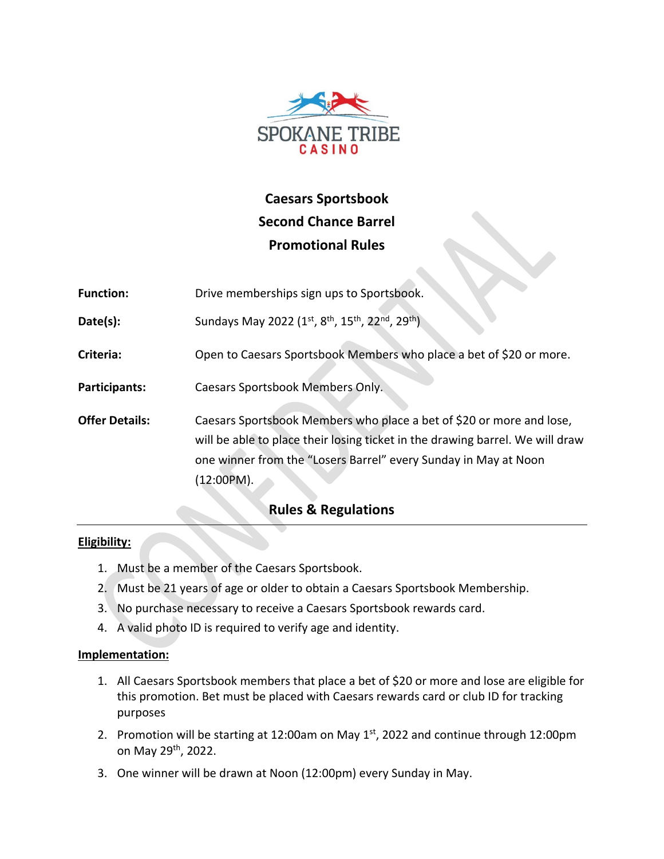

# **Caesars Sportsbook Second Chance Barrel Promotional Rules**

| <b>Function:</b>      | Drive memberships sign ups to Sportsbook.                                                                                                                                                                                              |
|-----------------------|----------------------------------------------------------------------------------------------------------------------------------------------------------------------------------------------------------------------------------------|
| Date(s):              | Sundays May 2022 (1st, 8 <sup>th</sup> , 15 <sup>th</sup> , 22 <sup>nd</sup> , 29 <sup>th</sup> )                                                                                                                                      |
| Criteria:             | Open to Caesars Sportsbook Members who place a bet of \$20 or more.                                                                                                                                                                    |
| Participants:         | Caesars Sportsbook Members Only.                                                                                                                                                                                                       |
| <b>Offer Details:</b> | Caesars Sportsbook Members who place a bet of \$20 or more and lose,<br>will be able to place their losing ticket in the drawing barrel. We will draw<br>one winner from the "Losers Barrel" every Sunday in May at Noon<br>(12:00PM). |

# **Rules & Regulations**

## **Eligibility:**

- 1. Must be a member of the Caesars Sportsbook.
- 2. Must be 21 years of age or older to obtain a Caesars Sportsbook Membership.
- 3. No purchase necessary to receive a Caesars Sportsbook rewards card.
- 4. A valid photo ID is required to verify age and identity.

## **Implementation:**

- 1. All Caesars Sportsbook members that place a bet of \$20 or more and lose are eligible for this promotion. Bet must be placed with Caesars rewards card or club ID for tracking purposes
- 2. Promotion will be starting at 12:00am on May  $1<sup>st</sup>$ , 2022 and continue through 12:00pm on May 29th, 2022.
- 3. One winner will be drawn at Noon (12:00pm) every Sunday in May.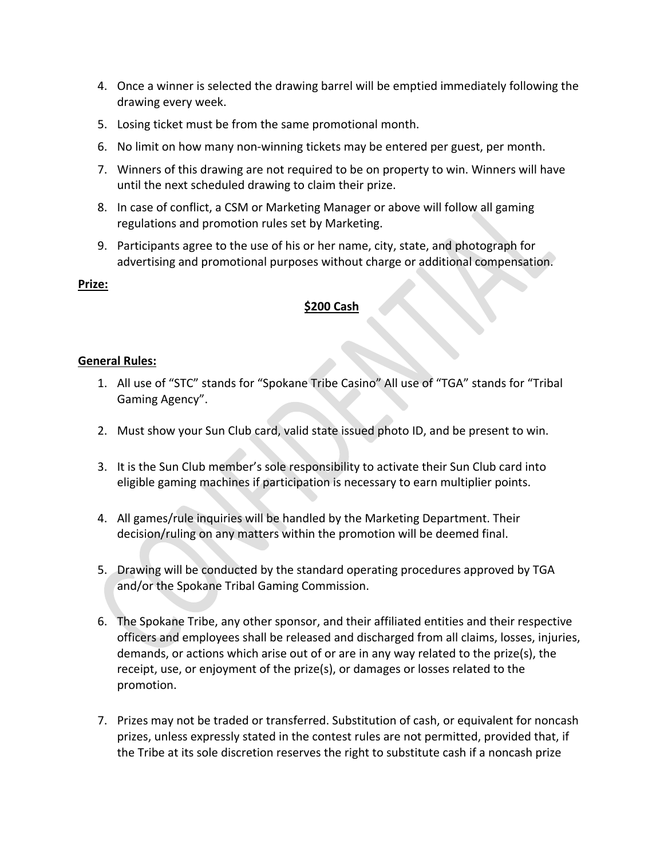- 4. Once a winner is selected the drawing barrel will be emptied immediately following the drawing every week.
- 5. Losing ticket must be from the same promotional month.
- 6. No limit on how many non-winning tickets may be entered per guest, per month.
- 7. Winners of this drawing are not required to be on property to win. Winners will have until the next scheduled drawing to claim their prize.
- 8. In case of conflict, a CSM or Marketing Manager or above will follow all gaming regulations and promotion rules set by Marketing.
- 9. Participants agree to the use of his or her name, city, state, and photograph for advertising and promotional purposes without charge or additional compensation.

#### **Prize:**

#### **\$200 Cash**

#### **General Rules:**

- 1. All use of "STC" stands for "Spokane Tribe Casino" All use of "TGA" stands for "Tribal Gaming Agency".
- 2. Must show your Sun Club card, valid state issued photo ID, and be present to win.
- 3. It is the Sun Club member's sole responsibility to activate their Sun Club card into eligible gaming machines if participation is necessary to earn multiplier points.
- 4. All games/rule inquiries will be handled by the Marketing Department. Their decision/ruling on any matters within the promotion will be deemed final.
- 5. Drawing will be conducted by the standard operating procedures approved by TGA and/or the Spokane Tribal Gaming Commission.
- 6. The Spokane Tribe, any other sponsor, and their affiliated entities and their respective officers and employees shall be released and discharged from all claims, losses, injuries, demands, or actions which arise out of or are in any way related to the prize(s), the receipt, use, or enjoyment of the prize(s), or damages or losses related to the promotion.
- 7. Prizes may not be traded or transferred. Substitution of cash, or equivalent for noncash prizes, unless expressly stated in the contest rules are not permitted, provided that, if the Tribe at its sole discretion reserves the right to substitute cash if a noncash prize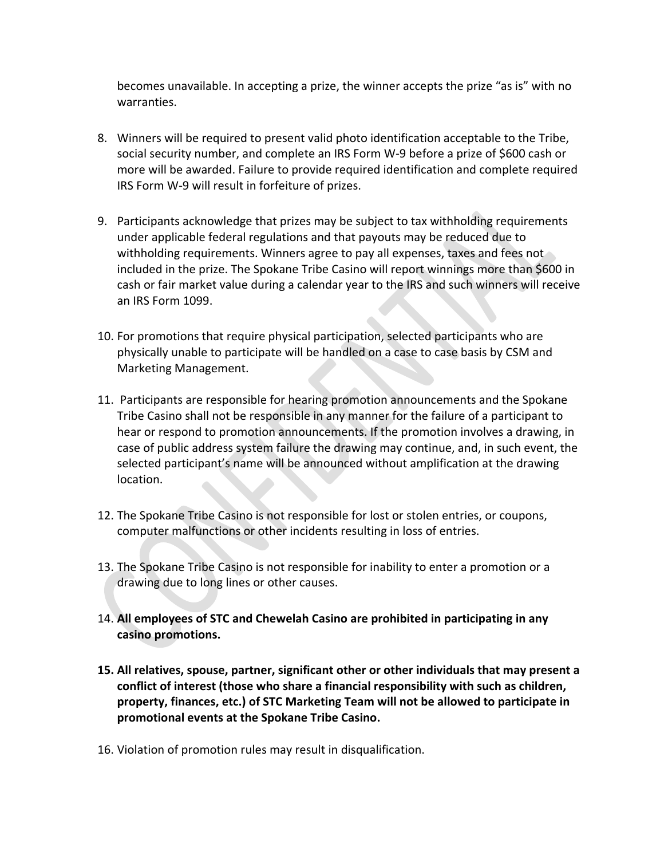becomes unavailable. In accepting a prize, the winner accepts the prize "as is" with no warranties.

- 8. Winners will be required to present valid photo identification acceptable to the Tribe, social security number, and complete an IRS Form W-9 before a prize of \$600 cash or more will be awarded. Failure to provide required identification and complete required IRS Form W-9 will result in forfeiture of prizes.
- 9. Participants acknowledge that prizes may be subject to tax withholding requirements under applicable federal regulations and that payouts may be reduced due to withholding requirements. Winners agree to pay all expenses, taxes and fees not included in the prize. The Spokane Tribe Casino will report winnings more than \$600 in cash or fair market value during a calendar year to the IRS and such winners will receive an IRS Form 1099.
- 10. For promotions that require physical participation, selected participants who are physically unable to participate will be handled on a case to case basis by CSM and Marketing Management.
- 11. Participants are responsible for hearing promotion announcements and the Spokane Tribe Casino shall not be responsible in any manner for the failure of a participant to hear or respond to promotion announcements. If the promotion involves a drawing, in case of public address system failure the drawing may continue, and, in such event, the selected participant's name will be announced without amplification at the drawing location.
- 12. The Spokane Tribe Casino is not responsible for lost or stolen entries, or coupons, computer malfunctions or other incidents resulting in loss of entries.
- 13. The Spokane Tribe Casino is not responsible for inability to enter a promotion or a drawing due to long lines or other causes.
- 14. **All employees of STC and Chewelah Casino are prohibited in participating in any casino promotions.**
- **15. All relatives, spouse, partner, significant other or other individuals that may present a conflict of interest (those who share a financial responsibility with such as children, property, finances, etc.) of STC Marketing Team will not be allowed to participate in promotional events at the Spokane Tribe Casino.**
- 16. Violation of promotion rules may result in disqualification.